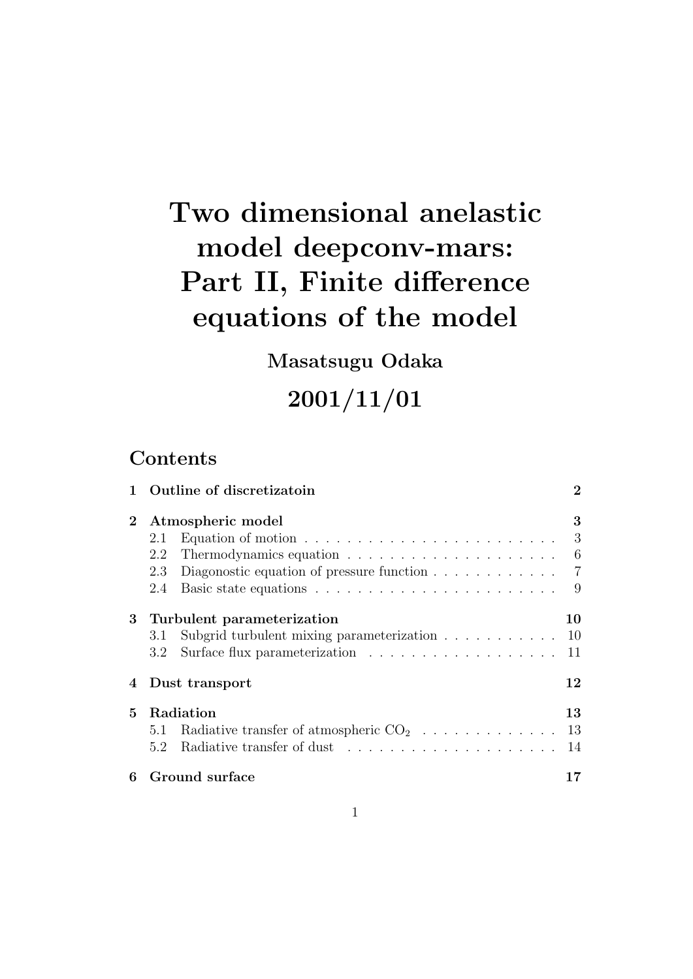# **Two dimensional anelastic model deepconv-mars: Part II, Finite difference equations of the model**

**Masatsugu Odaka**

**2001/11/01**

# **Contents**

|                | Outline of discretizatoin                                                           | $\boldsymbol{2}$ |
|----------------|-------------------------------------------------------------------------------------|------------------|
| $\overline{2}$ | Atmospheric model                                                                   | 3                |
|                | Equation of motion $\ldots \ldots \ldots \ldots \ldots \ldots \ldots \ldots$<br>2.1 | 3                |
|                | 2.2                                                                                 | 6                |
|                | Diagonostic equation of pressure function $\ldots \ldots \ldots \ldots$<br>2.3      | $\overline{7}$   |
|                | 2.4                                                                                 | 9                |
| 3              | Turbulent parameterization                                                          | 10               |
|                | Subgrid turbulent mixing parameterization<br>3.1                                    | 10               |
|                | $3.2\,$                                                                             | 11               |
| 4              | Dust transport                                                                      | 12               |
| 5.             | Radiation                                                                           | 13               |
|                | 5.1                                                                                 |                  |
|                | 5.2                                                                                 | 14               |
| 6              | Ground surface                                                                      | 17               |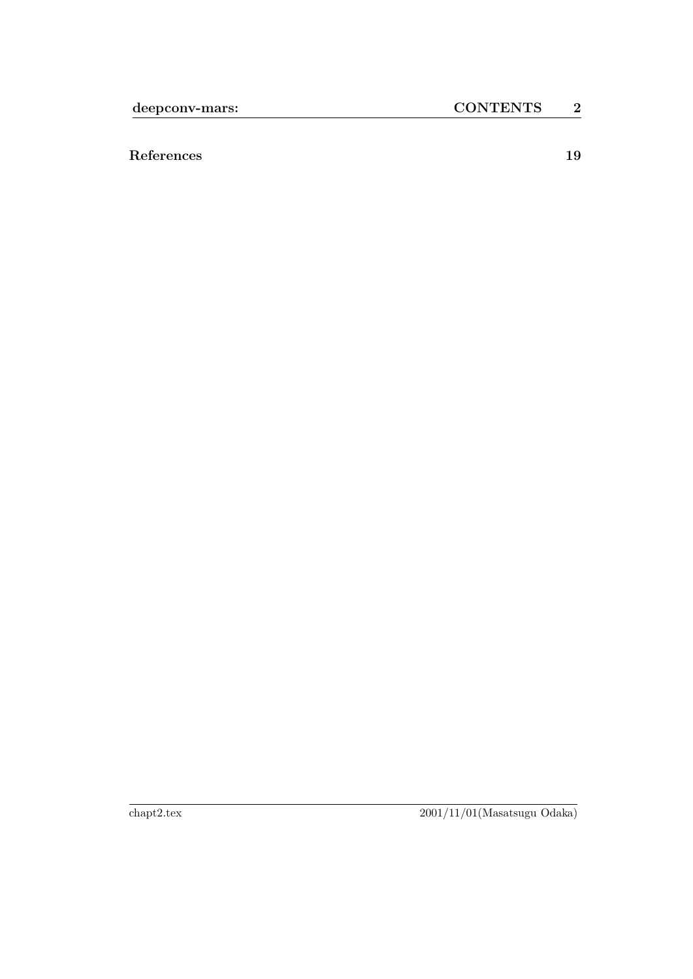**References 19**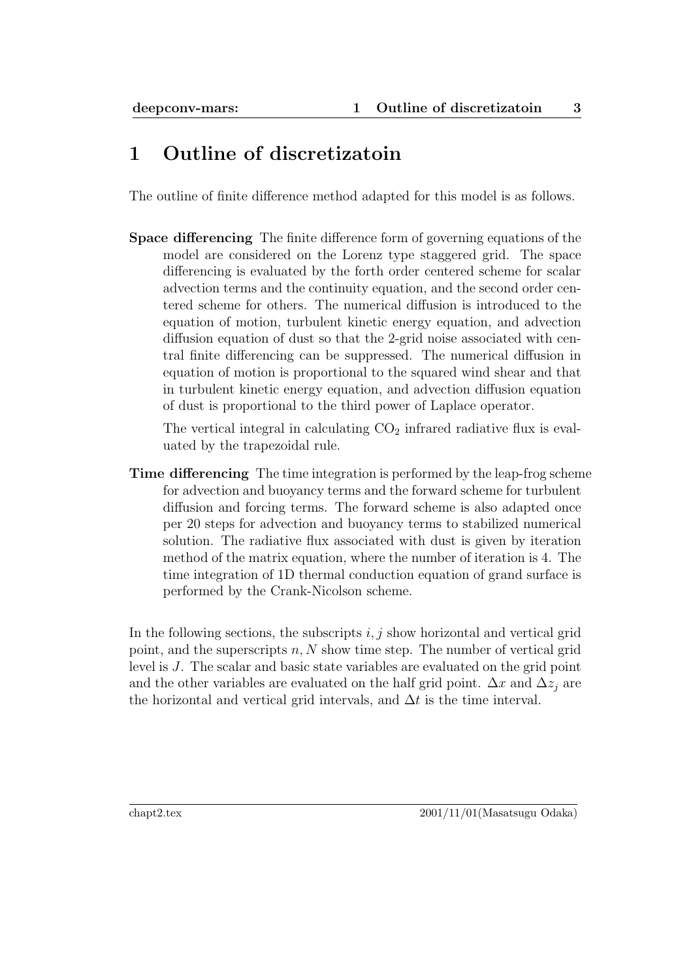# **1 Outline of discretizatoin**

The outline of finite difference method adapted for this model is as follows.

**Space differencing** The finite difference form of governing equations of the model are considered on the Lorenz type staggered grid. The space differencing is evaluated by the forth order centered scheme for scalar advection terms and the continuity equation, and the second order centered scheme for others. The numerical diffusion is introduced to the equation of motion, turbulent kinetic energy equation, and advection diffusion equation of dust so that the 2-grid noise associated with central finite differencing can be suppressed. The numerical diffusion in equation of motion is proportional to the squared wind shear and that in turbulent kinetic energy equation, and advection diffusion equation of dust is proportional to the third power of Laplace operator.

The vertical integral in calculating  $CO<sub>2</sub>$  infrared radiative flux is evaluated by the trapezoidal rule.

**Time differencing** The time integration is performed by the leap-frog scheme for advection and buoyancy terms and the forward scheme for turbulent diffusion and forcing terms. The forward scheme is also adapted once per 20 steps for advection and buoyancy terms to stabilized numerical solution. The radiative flux associated with dust is given by iteration method of the matrix equation, where the number of iteration is 4. The time integration of 1D thermal conduction equation of grand surface is performed by the Crank-Nicolson scheme.

In the following sections, the subscripts  $i, j$  show horizontal and vertical grid point, and the superscripts *n, N* show time step. The number of vertical grid level is *J*. The scalar and basic state variables are evaluated on the grid point and the other variables are evaluated on the half grid point.  $\Delta x$  and  $\Delta z_j$  are the horizontal and vertical grid intervals, and  $\Delta t$  is the time interval.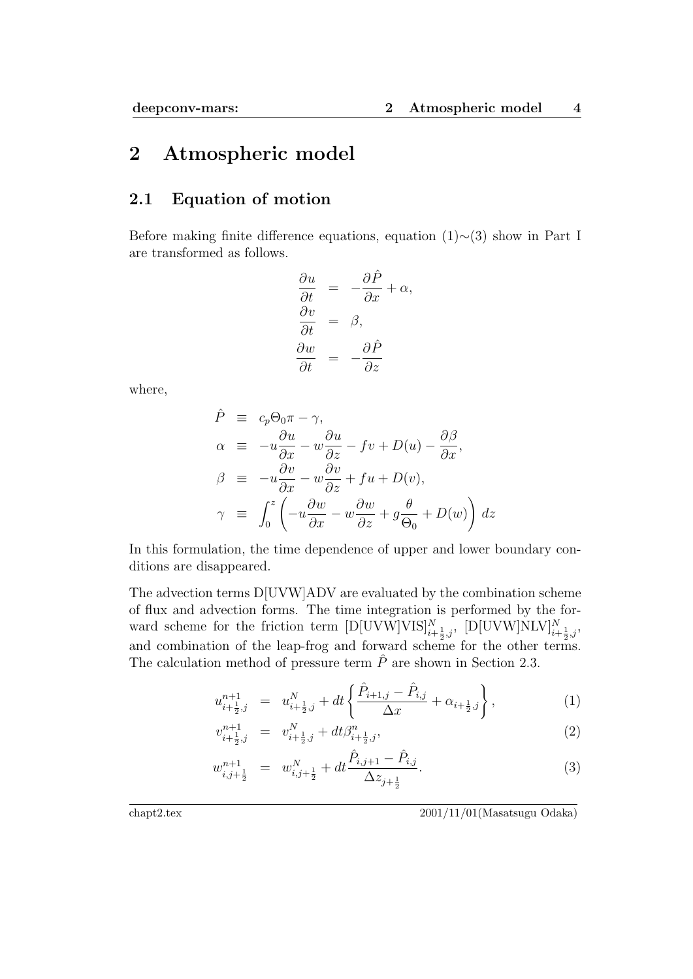### **2 Atmospheric model**

### **2.1 Equation of motion**

Before making finite difference equations, equation (1)*∼*(3) show in Part I are transformed as follows.

$$
\begin{aligned}\n\frac{\partial u}{\partial t} &= -\frac{\partial \hat{P}}{\partial x} + \alpha, \\
\frac{\partial v}{\partial t} &= \beta, \\
\frac{\partial w}{\partial t} &= -\frac{\partial \hat{P}}{\partial z}\n\end{aligned}
$$

where,

$$
\hat{P} \equiv c_p \Theta_0 \pi - \gamma,
$$
\n
$$
\alpha \equiv -u \frac{\partial u}{\partial x} - w \frac{\partial u}{\partial z} - fv + D(u) - \frac{\partial \beta}{\partial x},
$$
\n
$$
\beta \equiv -u \frac{\partial v}{\partial x} - w \frac{\partial v}{\partial z} + fu + D(v),
$$
\n
$$
\gamma \equiv \int_0^z \left( -u \frac{\partial w}{\partial x} - w \frac{\partial w}{\partial z} + g \frac{\theta}{\Theta_0} + D(w) \right) dz
$$

In this formulation, the time dependence of upper and lower boundary conditions are disappeared.

The advection terms D[UVW]ADV are evaluated by the combination scheme of flux and advection forms. The time integration is performed by the forward scheme for the friction term  $[D[UVW]VIS]_{i+\frac{1}{2},j}^N$ ,  $[D[UVW]NLV]_{i+\frac{1}{2},j}^N$ , and combination of the leap-frog and forward scheme for the other terms. The calculation method of pressure term  $\hat{P}$  are shown in Section 2.3.

$$
u_{i+\frac{1}{2},j}^{n+1} = u_{i+\frac{1}{2},j}^{N} + dt \left\{ \frac{\hat{P}_{i+1,j} - \hat{P}_{i,j}}{\Delta x} + \alpha_{i+\frac{1}{2},j} \right\},
$$
 (1)

$$
v_{i+\frac{1}{2},j}^{n+1} = v_{i+\frac{1}{2},j}^N + dt \beta_{i+\frac{1}{2},j}^n,
$$
\n(2)

$$
w_{i,j+\frac{1}{2}}^{n+1} = w_{i,j+\frac{1}{2}}^N + dt \frac{\hat{P}_{i,j+1} - \hat{P}_{i,j}}{\Delta z_{j+\frac{1}{2}}}.
$$
\n(3)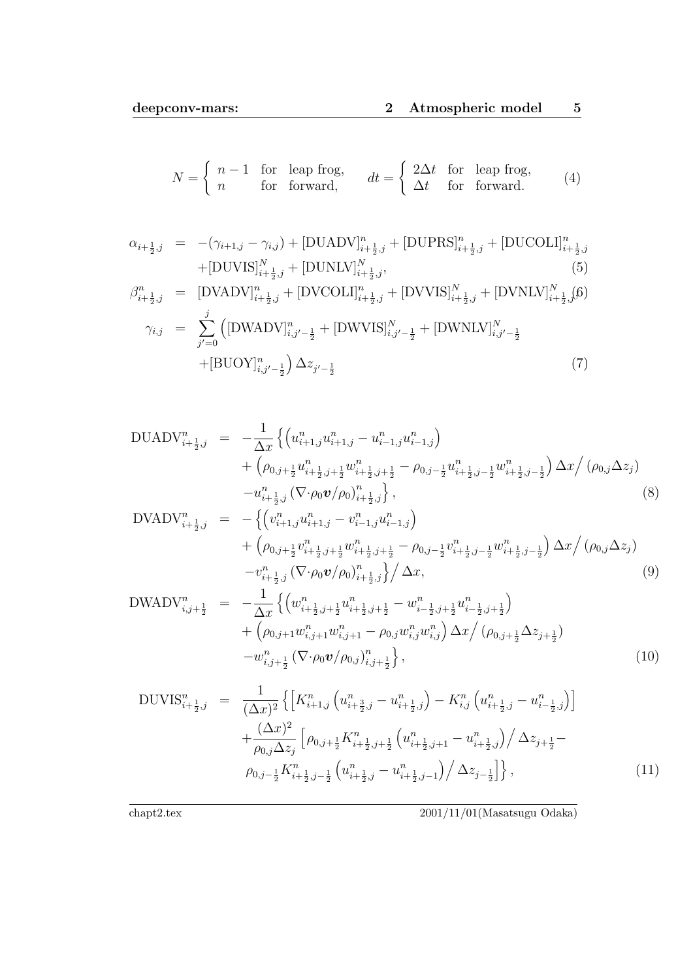$$
N = \begin{cases} n - 1 & \text{for leap frog,} \\ n & \text{for forward,} \end{cases} \qquad dt = \begin{cases} 2\Delta t & \text{for leap frog,} \\ \Delta t & \text{for forward.} \end{cases} \tag{4}
$$

$$
\alpha_{i+\frac{1}{2},j} = -(\gamma_{i+1,j} - \gamma_{i,j}) + [\text{DUADV}]_{i+\frac{1}{2},j}^n + [\text{DUPRS}]_{i+\frac{1}{2},j}^n + [\text{DUCOLI}]_{i+\frac{1}{2},j}^n
$$
  
+ [\text{DUVIS}]\_{i+\frac{1}{2},j}^N + [\text{DUNLV}]\_{i+\frac{1}{2},j}^N, (5)

$$
\beta_{i+\frac{1}{2},j}^{n} = \left[ \text{DVADV}\right]_{i+\frac{1}{2},j}^{n} + \left[ \text{DVCOLI}\right]_{i+\frac{1}{2},j}^{n} + \left[ \text{DVVIS}\right]_{i+\frac{1}{2},j}^{N} + \left[ \text{DVNLV}\right]_{i+\frac{1}{2},j}^{N} (6)
$$
\n
$$
\gamma_{i,j} = \sum_{j'=0}^{j} \left( \left[ \text{DWADV}\right]_{i,j'-\frac{1}{2}}^{n} + \left[ \text{DWVIS}\right]_{i,j'-\frac{1}{2}}^{N} + \left[ \text{DWNLV}\right]_{i,j'-\frac{1}{2}}^{N} + \left[ \text{BWNNLV}\right]_{i,j'-\frac{1}{2}}^{N} \right)
$$
\n
$$
+ \left[ \text{BUOV}\right]_{i,j'-\frac{1}{2}}^{n} \Delta z_{j'-\frac{1}{2}} \tag{7}
$$

$$
DUADV_{i+\frac{1}{2},j}^{n} = -\frac{1}{\Delta x} \left\{ \left( u_{i+1,j}^{n} u_{i+1,j}^{n} - u_{i-1,j}^{n} u_{i-1,j}^{n} \right) + \left( \rho_{0,j+\frac{1}{2}} u_{i+\frac{1}{2},j+\frac{1}{2}}^{n} w_{i+\frac{1}{2},j+\frac{1}{2}}^{n} - \rho_{0,j-\frac{1}{2}} u_{i+\frac{1}{2},j-\frac{1}{2}}^{n} w_{i+\frac{1}{2},j-\frac{1}{2}}^{n} \right) \Delta x / \left( \rho_{0,j} \Delta z_{j} \right) - u_{i+\frac{1}{2},j}^{n} \left( \nabla \cdot \rho_{0} \mathbf{v} / \rho_{0} \right)_{i+\frac{1}{2},j}^{n} \right\},
$$
\n
$$
UVA DV^{n} = -\int \left( u_{i}^{n} u_{i}^{n} - u_{i}^{n} u_{i}^{n} \right) \tag{8}
$$

$$
DVADV_{i+\frac{1}{2},j}^{n} = -\left\{ \left( v_{i+1,j}^{n} u_{i+1,j}^{n} - v_{i-1,j}^{n} u_{i-1,j}^{n} \right) + \left( \rho_{0,j+\frac{1}{2}} v_{i+\frac{1}{2},j+\frac{1}{2}}^{n} w_{i+\frac{1}{2},j+\frac{1}{2}}^{n} - \rho_{0,j-\frac{1}{2}} v_{i+\frac{1}{2},j-\frac{1}{2}}^{n} w_{i+\frac{1}{2},j-\frac{1}{2}}^{n} \right) \Delta x / \left( \rho_{0,j} \Delta z_{j} \right) - v_{i+\frac{1}{2},j}^{n} \left( \nabla \cdot \rho_{0} \mathbf{v} / \rho_{0} \right)_{i+\frac{1}{2},j}^{n} \right\} / \Delta x, \tag{9}
$$

$$
DWADV_{i,j+\frac{1}{2}}^{n} = -\frac{1}{\Delta x} \left\{ \left( w_{i+\frac{1}{2},j+\frac{1}{2}}^{n} u_{i+\frac{1}{2},j+\frac{1}{2}}^{n} - w_{i-\frac{1}{2},j+\frac{1}{2}}^{n} u_{i-\frac{1}{2},j+\frac{1}{2}}^{n} \right) \right. \\ \left. + \left( \rho_{0,j+1} w_{i,j+1}^{n} w_{i,j+1}^{n} - \rho_{0,j} w_{i,j}^{n} w_{i,j}^{n} \right) \Delta x / \left( \rho_{0,j+\frac{1}{2}} \Delta z_{j+\frac{1}{2}} \right) \right. \\ \left. - w_{i,j+\frac{1}{2}}^{n} \left( \nabla \cdot \rho_{0} \mathbf{v} / \rho_{0,j} \right)_{i,j+\frac{1}{2}}^{n} \right\}, \tag{10}
$$

$$
DUVIS_{i+\frac{1}{2},j}^{n} = \frac{1}{(\Delta x)^{2}} \left\{ \left[ K_{i+1,j}^{n} \left( u_{i+\frac{3}{2},j}^{n} - u_{i+\frac{1}{2},j}^{n} \right) - K_{i,j}^{n} \left( u_{i+\frac{1}{2},j}^{n} - u_{i-\frac{1}{2},j}^{n} \right) \right] \right. \\ \left. + \frac{(\Delta x)^{2}}{\rho_{0,j} \Delta z_{j}} \left[ \rho_{0,j+\frac{1}{2}} K_{i+\frac{1}{2},j+\frac{1}{2}}^{n} \left( u_{i+\frac{1}{2},j+1}^{n} - u_{i+\frac{1}{2},j}^{n} \right) \right/ \Delta z_{j+\frac{1}{2}} - \right. \\ \left. \rho_{0,j-\frac{1}{2}} K_{i+\frac{1}{2},j-\frac{1}{2}}^{n} \left( u_{i+\frac{1}{2},j}^{n} - u_{i+\frac{1}{2},j-1}^{n} \right) \right/ \Delta z_{j-\frac{1}{2}} \right] \right\}, \tag{11}
$$

 $\overline{\text{chapt2.text}} \hspace{2mm} 2001/11/01 (\text{Masatsugu Odaka})$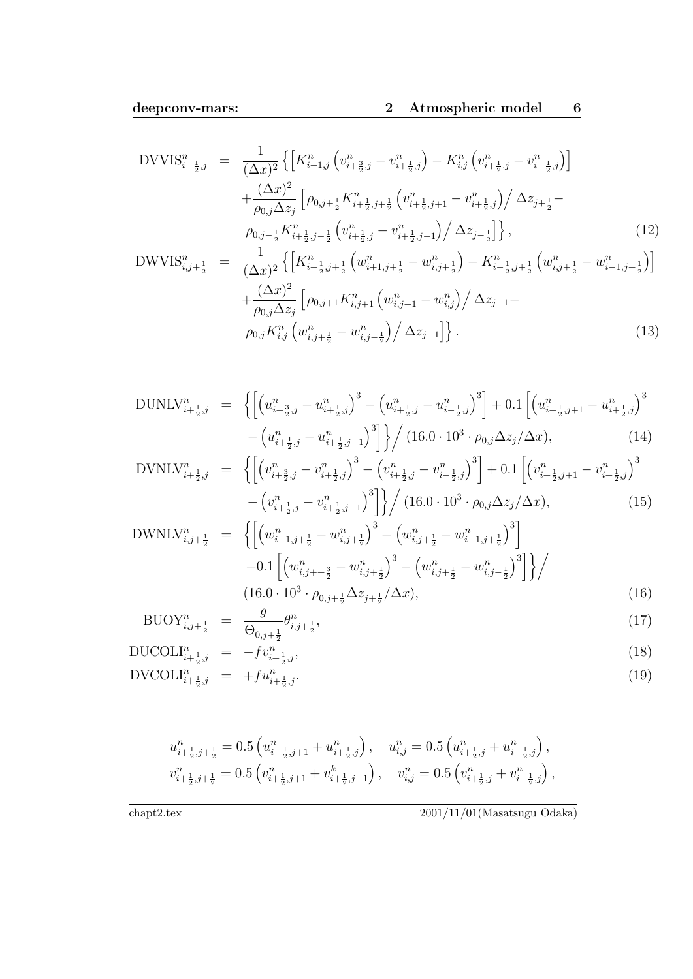$$
DVVIS_{i+\frac{1}{2},j}^{n} = \frac{1}{(\Delta x)^{2}} \left\{ \left[ K_{i+1,j}^{n} \left( v_{i+\frac{3}{2},j}^{n} - v_{i+\frac{1}{2},j}^{n} \right) - K_{i,j}^{n} \left( v_{i+\frac{1}{2},j}^{n} - v_{i-\frac{1}{2},j}^{n} \right) \right] \right. \\
\left. + \frac{(\Delta x)^{2}}{\rho_{0,j} \Delta z_{j}} \left[ \rho_{0,j+\frac{1}{2}} K_{i+\frac{1}{2},j+\frac{1}{2}}^{n} \left( v_{i+\frac{1}{2},j+1}^{n} - v_{i+\frac{1}{2},j}^{n} \right) / \Delta z_{j+\frac{1}{2}} - \right. \\
\left. \rho_{0,j-\frac{1}{2}} K_{i+\frac{1}{2},j-\frac{1}{2}}^{n} \left( v_{i+\frac{1}{2},j}^{n} - v_{i+\frac{1}{2},j-1}^{n} \right) / \Delta z_{j-\frac{1}{2}} \right] \right\}, \tag{12}
$$
\n
$$
DWVIS_{i,j+\frac{1}{2}}^{n} = \frac{1}{(\Delta x)^{2}} \left\{ \left[ K_{i+\frac{1}{2},j+\frac{1}{2}}^{n} \left( w_{i+1,j+\frac{1}{2}}^{n} - w_{i,j+\frac{1}{2}}^{n} \right) - K_{i-\frac{1}{2},j+\frac{1}{2}}^{n} \left( w_{i,j+\frac{1}{2}}^{n} - w_{i-1,j+\frac{1}{2}}^{n} \right) \right] \right\}
$$

$$
W\mathbf{1}S_{i,j+\frac{1}{2}} = \frac{(\Delta x)^2} {(\Delta x)^2} \left\{ \left[ \mathbf{R}_{i+\frac{1}{2},j+\frac{1}{2}} \left( w_{i+1,j+\frac{1}{2}} - w_{i,j+\frac{1}{2}} \right) - \mathbf{R}_{i-\frac{1}{2},j+\frac{1}{2}} \left( w_{i,j+\frac{1}{2}} - w_{i-1,j+\frac{1}{2}} \right) \right] \right\} + \frac{(\Delta x)^2}{\rho_{0,j} \Delta z_j} \left[ \rho_{0,j+1} K_{i,j+1}^n \left( w_{i,j+1}^n - w_{i,j}^n \right) / \Delta z_{j+1} - \rho_{0,j} K_{i,j}^n \left( w_{i,j+\frac{1}{2}}^n - w_{i,j-\frac{1}{2}}^n \right) / \Delta z_{j-1} \right] \right\}.
$$
 (13)

$$
DUNLV_{i+\frac{1}{2},j}^{n} = \left\{ \left[ \left( u_{i+\frac{3}{2},j}^{n} - u_{i+\frac{1}{2},j}^{n} \right)^{3} - \left( u_{i+\frac{1}{2},j}^{n} - u_{i-\frac{1}{2},j}^{n} \right)^{3} \right] + 0.1 \left[ \left( u_{i+\frac{1}{2},j+1}^{n} - u_{i+\frac{1}{2},j}^{n} \right)^{3} - \left( u_{i+\frac{1}{2},j}^{n} - u_{i+\frac{1}{2},j-1}^{n} \right)^{3} \right] \right\} / (16.0 \cdot 10^{3} \cdot \rho_{0,j} \Delta z_{j} / \Delta x), \tag{14}
$$

$$
DVNLV_{i+\frac{1}{2},j}^{n} = \left\{ \left[ \left( v_{i+\frac{3}{2},j}^{n} - v_{i+\frac{1}{2},j}^{n} \right)^{3} - \left( v_{i+\frac{1}{2},j}^{n} - v_{i-\frac{1}{2},j}^{n} \right)^{3} \right] + 0.1 \left[ \left( v_{i+\frac{1}{2},j+1}^{n} - v_{i+\frac{1}{2},j}^{n} \right)^{3} - \left( v_{i+\frac{1}{2},j}^{n} - v_{i+\frac{1}{2},j-1}^{n} \right)^{3} \right] \right\} / \left( 16.0 \cdot 10^{3} \cdot \rho_{0,j} \Delta z_{j} / \Delta x \right), \tag{15}
$$

$$
\text{DWNLV}_{i,j+\frac{1}{2}}^{n} = \left\{ \left[ \left( w_{i+1,j+\frac{1}{2}}^{n} - w_{i,j+\frac{1}{2}}^{n} \right)^{3} - \left( w_{i,j+\frac{1}{2}}^{n} - w_{i-1,j+\frac{1}{2}}^{n} \right)^{3} \right] + 0.1 \left[ \left( w_{i,j+\frac{3}{2}}^{n} - w_{i,j+\frac{1}{2}}^{n} \right)^{3} - \left( w_{i,j+\frac{1}{2}}^{n} - w_{i,j-\frac{1}{2}}^{n} \right)^{3} \right] \right\} / \tag{16}
$$
\n
$$
(16.0 \cdot 10^{3} \cdot \rho_{0,j+\frac{1}{2}} \Delta z_{j+\frac{1}{2}} / \Delta x), \tag{16}
$$

$$
BUOY_{i,j+\frac{1}{2}}^n = \frac{g}{\Theta_{0,j+\frac{1}{2}}} \theta_{i,j+\frac{1}{2}}^n,\tag{17}
$$

$$
DUCOLI_{i+\frac{1}{2},j}^{n} = -fv_{i+\frac{1}{2},j}^{n}, \qquad (18)
$$

$$
DVCOLI_{i+\frac{1}{2},j}^{n} = +fu_{i+\frac{1}{2},j}^{n}.
$$
\n(19)

$$
\begin{aligned} u_{i+\frac{1}{2},j+\frac{1}{2}}^n &= 0.5 \left( u_{i+\frac{1}{2},j+1}^n + u_{i+\frac{1}{2},j}^n \right), \quad u_{i,j}^n = 0.5 \left( u_{i+\frac{1}{2},j}^n + u_{i-\frac{1}{2},j}^n \right), \\ v_{i+\frac{1}{2},j+\frac{1}{2}}^n &= 0.5 \left( v_{i+\frac{1}{2},j+1}^n + v_{i+\frac{1}{2},j-1}^k \right), \quad v_{i,j}^n = 0.5 \left( v_{i+\frac{1}{2},j}^n + v_{i-\frac{1}{2},j}^n \right), \end{aligned}
$$

 $\overline{\text{chapt2.tex}} \qquad \qquad 2001/11/01 (\text{Masatsugu Odaka})$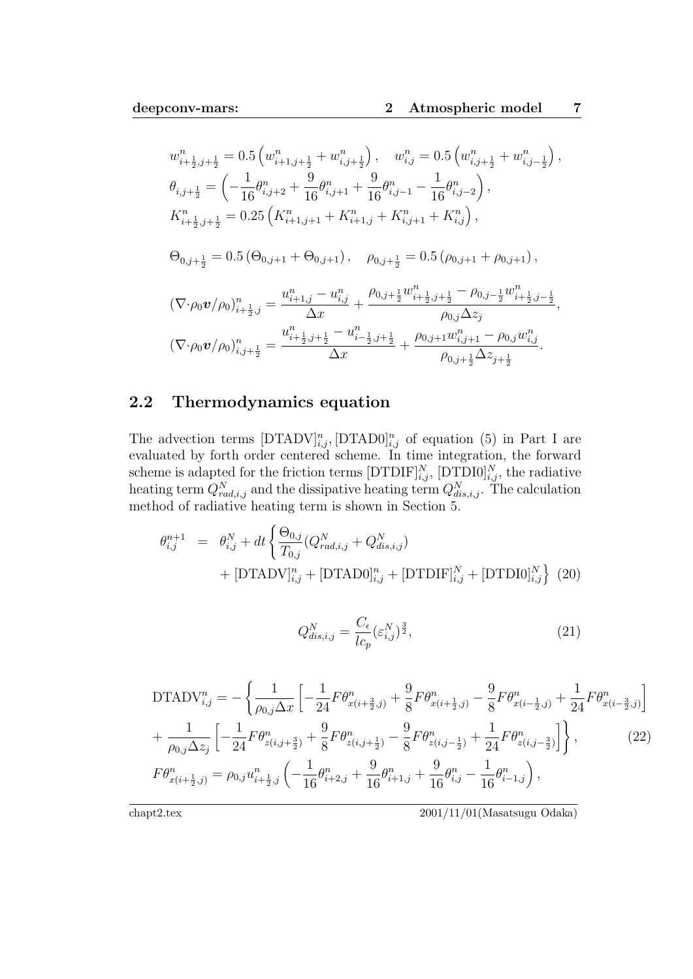$$
w_{i+\frac{1}{2},j+\frac{1}{2}}^{n} = 0.5 \left( w_{i+1,j+\frac{1}{2}}^{n} + w_{i,j+\frac{1}{2}}^{n} \right), \quad w_{i,j}^{n} = 0.5 \left( w_{i,j+\frac{1}{2}}^{n} + w_{i,j-\frac{1}{2}}^{n} \right),
$$
  
\n
$$
\theta_{i,j+\frac{1}{2}} = \left( -\frac{1}{16} \theta_{i,j+2}^{n} + \frac{9}{16} \theta_{i,j+1}^{n} + \frac{9}{16} \theta_{i,j-1}^{n} - \frac{1}{16} \theta_{i,j-2}^{n} \right),
$$
  
\n
$$
K_{i+\frac{1}{2},j+\frac{1}{2}}^{n} = 0.25 \left( K_{i+1,j+1}^{n} + K_{i+1,j}^{n} + K_{i,j+1}^{n} + K_{i,j}^{n} \right),
$$
  
\n
$$
\Theta_{0,j+\frac{1}{2}} = 0.5 \left( \Theta_{0,j+1} + \Theta_{0,j+1} \right), \quad \rho_{0,j+\frac{1}{2}} = 0.5 \left( \rho_{0,j+1} + \rho_{0,j+1} \right),
$$
  
\n
$$
\left( \nabla \cdot \rho_0 \mathbf{v} / \rho_0 \right)_{i+\frac{1}{2},j}^{n} = \frac{u_{i+1,j}^{n} - u_{i,j}^{n}}{\Delta x} + \frac{\rho_{0,j+\frac{1}{2}} w_{i+\frac{1}{2},j+\frac{1}{2}}^{n} - \rho_{0,j-\frac{1}{2}} w_{i+\frac{1}{2},j-\frac{1}{2}}^{n}}{\rho_{0,j} \Delta z_{j}},
$$
  
\n
$$
\left( \nabla \cdot \rho_0 \mathbf{v} / \rho_0 \right)_{i,j+\frac{1}{2}}^{n} = \frac{u_{i+\frac{1}{2},j+\frac{1}{2}}^{n} - u_{i-\frac{1}{2},j+\frac{1}{2}}^{n}}{\Delta x} + \frac{\rho_{0,j+1} w_{i,j+1}^{n} - \rho_{0,j} w_{i,j}^{n}}{\rho_{0,j+\frac{1}{2}} \Delta z_{j+\frac{1}{2}}}.
$$

### **2.2 Thermodynamics equation**

The advection terms  $[DTADV]_{i,j}^n$ ,  $[DTADD]_{i,j}^n$  of equation (5) in Part I are evaluated by forth order centered scheme. In time integration, the forward scheme is adapted for the friction terms  $[DTDIF]_{i,j}^N$ ,  $[DTDIO]_{i,j}^N$ , the radiative heating term  $Q_{rad,i,j}^N$  and the dissipative heating term  $Q_{dis,i,j}^N$ . The calculation method of radiative heating term is shown in Section 5.

$$
\theta_{i,j}^{n+1} = \theta_{i,j}^{N} + dt \left\{ \frac{\Theta_{0,j}}{T_{0,j}} (Q_{rad,i,j}^{N} + Q_{dis,i,j}^{N}) + [\text{DTADV}]_{i,j}^{n} + [\text{DTAD0}]_{i,j}^{n} + [\text{DTDIF}]_{i,j}^{N} + [\text{DTDDI0}]_{i,j}^{N} \right\}
$$
(20)

$$
Q_{dis,i,j}^N = \frac{C_\epsilon}{lc_p} (\varepsilon_{i,j}^N)^{\frac{3}{2}},\tag{21}
$$

$$
\text{DTADV}_{i,j}^{n} = -\left\{ \frac{1}{\rho_{0,j}\Delta x} \left[ -\frac{1}{24} F \theta_{x(i+\frac{3}{2},j)}^{n} + \frac{9}{8} F \theta_{x(i+\frac{1}{2},j)}^{n} - \frac{9}{8} F \theta_{x(i-\frac{1}{2},j)}^{n} + \frac{1}{24} F \theta_{x(i-\frac{3}{2},j)}^{n} \right] \right. \\
\left. + \frac{1}{\rho_{0,j}\Delta z_{j}} \left[ -\frac{1}{24} F \theta_{z(i,j+\frac{3}{2})}^{n} + \frac{9}{8} F \theta_{z(i,j+\frac{1}{2})}^{n} - \frac{9}{8} F \theta_{z(i,j-\frac{1}{2})}^{n} + \frac{1}{24} F \theta_{z(i,j-\frac{3}{2})}^{n} \right] \right\}, \tag{22}
$$
\n
$$
F \theta_{x(i+\frac{1}{2},j)}^{n} = \rho_{0,j} u_{i+\frac{1}{2},j}^{n} \left( -\frac{1}{16} \theta_{i+2,j}^{n} + \frac{9}{16} \theta_{i+1,j}^{n} + \frac{9}{16} \theta_{i,j}^{n} - \frac{1}{16} \theta_{i-1,j}^{n} \right),
$$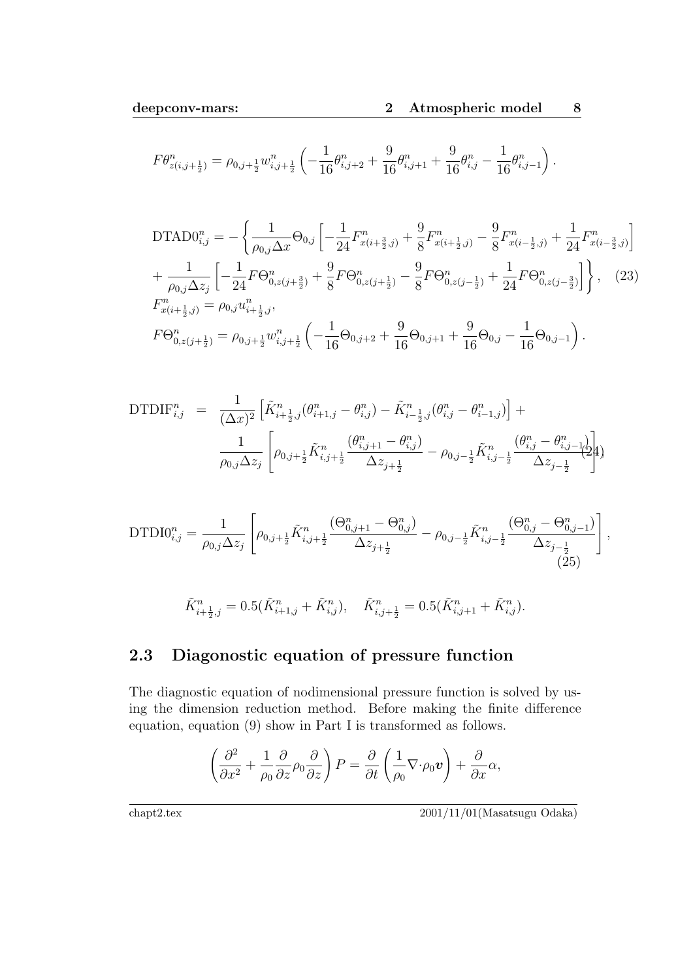$$
F\theta_{z(i,j+\frac{1}{2})}^n = \rho_{0,j+\frac{1}{2}} w_{i,j+\frac{1}{2}}^n \left( -\frac{1}{16} \theta_{i,j+2}^n + \frac{9}{16} \theta_{i,j+1}^n + \frac{9}{16} \theta_{i,j}^n - \frac{1}{16} \theta_{i,j-1}^n \right).
$$

$$
\text{DTAD0}_{i,j}^{n} = -\left\{ \frac{1}{\rho_{0,j}\Delta x} \Theta_{0,j} \left[ -\frac{1}{24} F_{x(i+\frac{3}{2},j)}^{n} + \frac{9}{8} F_{x(i+\frac{1}{2},j)}^{n} - \frac{9}{8} F_{x(i-\frac{1}{2},j)}^{n} + \frac{1}{24} F_{x(i-\frac{3}{2},j)}^{n} \right] \right. \\
\left. + \frac{1}{\rho_{0,j}\Delta z_{j}} \left[ -\frac{1}{24} F \Theta_{0,z(j+\frac{3}{2})}^{n} + \frac{9}{8} F \Theta_{0,z(j+\frac{1}{2})}^{n} - \frac{9}{8} F \Theta_{0,z(j-\frac{1}{2})}^{n} + \frac{1}{24} F \Theta_{0,z(j-\frac{3}{2})}^{n} \right] \right\}, \quad (23)
$$
\n
$$
F_{x(i+\frac{1}{2},j)}^{n} = \rho_{0,j} u_{i+\frac{1}{2},j}^{n},
$$
\n
$$
F \Theta_{0,z(j+\frac{1}{2})}^{n} = \rho_{0,j+\frac{1}{2}} w_{i,j+\frac{1}{2}}^{n} \left( -\frac{1}{16} \Theta_{0,j+2} + \frac{9}{16} \Theta_{0,j+1} + \frac{9}{16} \Theta_{0,j} - \frac{1}{16} \Theta_{0,j-1} \right).
$$

$$
\text{DTDIF}_{i,j}^{n} = \frac{1}{(\Delta x)^{2}} \left[ \tilde{K}_{i+\frac{1}{2},j}^{n} (\theta_{i+1,j}^{n} - \theta_{i,j}^{n}) - \tilde{K}_{i-\frac{1}{2},j}^{n} (\theta_{i,j}^{n} - \theta_{i-1,j}^{n}) \right] + \frac{1}{\rho_{0,j} \Delta z_{j}} \left[ \rho_{0,j+\frac{1}{2}} \tilde{K}_{i,j+\frac{1}{2}}^{n} \frac{(\theta_{i,j+1}^{n} - \theta_{i,j}^{n})}{\Delta z_{j+\frac{1}{2}}} - \rho_{0,j-\frac{1}{2}} \tilde{K}_{i,j-\frac{1}{2}}^{n} \frac{(\theta_{i,j}^{n} - \theta_{i,j-1}^{n})}{\Delta z_{j-\frac{1}{2}}} \right]
$$

$$
\text{DTDDI0}_{i,j}^n = \frac{1}{\rho_{0,j} \Delta z_j} \left[ \rho_{0,j+\frac{1}{2}} \tilde{K}_{i,j+\frac{1}{2}}^n \frac{(\Theta_{0,j+1}^n - \Theta_{0,j}^n)}{\Delta z_{j+\frac{1}{2}}} - \rho_{0,j-\frac{1}{2}} \tilde{K}_{i,j-\frac{1}{2}}^n \frac{(\Theta_{0,j}^n - \Theta_{0,j-1}^n)}{\Delta z_{j-\frac{1}{2}}} \right],
$$
\n(25)

$$
\tilde{K}_{i+\frac{1}{2},j}^n = 0.5(\tilde{K}_{i+1,j}^n + \tilde{K}_{i,j}^n), \quad \tilde{K}_{i,j+\frac{1}{2}}^n = 0.5(\tilde{K}_{i,j+1}^n + \tilde{K}_{i,j}^n).
$$

#### **2.3 Diagonostic equation of pressure function**

The diagnostic equation of nodimensional pressure function is solved by using the dimension reduction method. Before making the finite difference equation, equation (9) show in Part I is transformed as follows.

$$
\left(\frac{\partial^2}{\partial x^2} + \frac{1}{\rho_0} \frac{\partial}{\partial z} \rho_0 \frac{\partial}{\partial z}\right) P = \frac{\partial}{\partial t} \left(\frac{1}{\rho_0} \nabla \cdot \rho_0 \mathbf{v}\right) + \frac{\partial}{\partial x} \alpha,
$$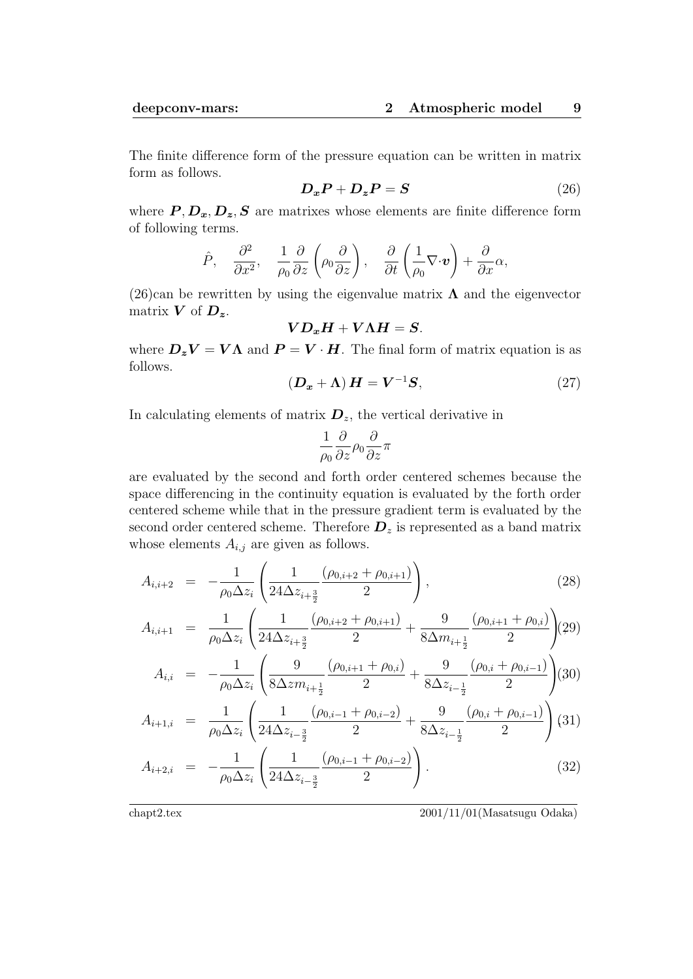The finite difference form of the pressure equation can be written in matrix form as follows.

$$
D_x P + D_z P = S \tag{26}
$$

where  $P, D_x, D_z, S$  are matrixes whose elements are finite difference form of following terms.

$$
\hat{P}, \quad \frac{\partial^2}{\partial x^2}, \quad \frac{1}{\rho_0} \frac{\partial}{\partial z} \left( \rho_0 \frac{\partial}{\partial z} \right), \quad \frac{\partial}{\partial t} \left( \frac{1}{\rho_0} \nabla \cdot \boldsymbol{v} \right) + \frac{\partial}{\partial x} \alpha,
$$

(26)can be rewritten by using the eigenvalue matrix  $\Lambda$  and the eigenvector matrix *V* of *Dz*.

$$
\boldsymbol{V}\boldsymbol{D_x}\boldsymbol{H}+\boldsymbol{V}\boldsymbol{\Lambda}\boldsymbol{H}=\boldsymbol{S}.
$$

where  $D_zV = V\Lambda$  and  $P = V \cdot H$ . The final form of matrix equation is as follows.

$$
(\mathbf{D}_{x} + \Lambda) \mathbf{H} = \mathbf{V}^{-1} \mathbf{S}, \tag{27}
$$

In calculating elements of matrix  $D_z$ , the vertical derivative in

$$
\frac{1}{\rho_0}\frac{\partial}{\partial z}\rho_0\frac{\partial}{\partial z}\pi
$$

are evaluated by the second and forth order centered schemes because the space differencing in the continuity equation is evaluated by the forth order centered scheme while that in the pressure gradient term is evaluated by the second order centered scheme. Therefore  $D_z$  is represented as a band matrix whose elements *Ai,j* are given as follows.

$$
A_{i,i+2} = -\frac{1}{\rho_0 \Delta z_i} \left( \frac{1}{24\Delta z_{i+\frac{3}{2}}} \frac{(\rho_{0,i+2} + \rho_{0,i+1})}{2} \right), \tag{28}
$$

$$
A_{i,i+1} = \frac{1}{\rho_0 \Delta z_i} \left( \frac{1}{24\Delta z_{i+\frac{3}{2}}} \frac{(\rho_{0,i+2} + \rho_{0,i+1})}{2} + \frac{9}{8\Delta m_{i+\frac{1}{2}}} \frac{(\rho_{0,i+1} + \rho_{0,i})}{2} \right) (29)
$$

$$
A_{i,i} = -\frac{1}{\rho_0 \Delta z_i} \left( \frac{9}{8\Delta z m_{i+\frac{1}{2}}} \frac{(\rho_{0,i+1} + \rho_{0,i})}{2} + \frac{9}{8\Delta z_{i-\frac{1}{2}}} \frac{(\rho_{0,i} + \rho_{0,i-1})}{2} \right) (30)
$$

$$
A_{i+1,i} = \frac{1}{\rho_0 \Delta z_i} \left( \frac{1}{24\Delta z_{i-\frac{3}{2}}} \frac{(\rho_{0,i-1} + \rho_{0,i-2})}{2} + \frac{9}{8\Delta z_{i-\frac{1}{2}}} \frac{(\rho_{0,i} + \rho_{0,i-1})}{2} \right)
$$
(31)

$$
A_{i+2,i} = -\frac{1}{\rho_0 \Delta z_i} \left( \frac{1}{24 \Delta z_{i-\frac{3}{2}}} \frac{(\rho_{0,i-1} + \rho_{0,i-2})}{2} \right).
$$
 (32)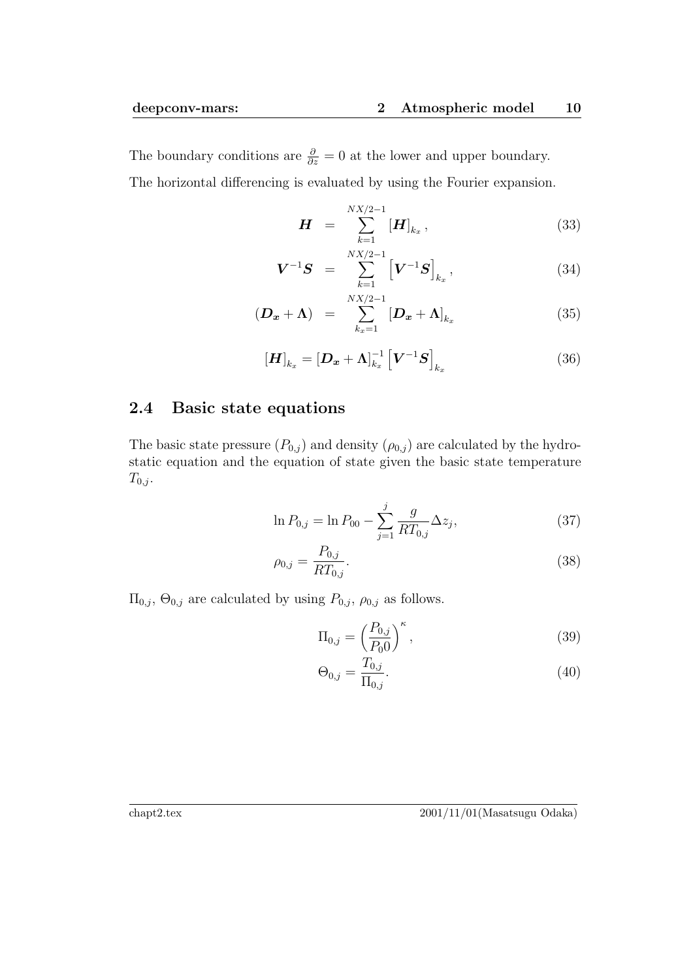The boundary conditions are  $\frac{\partial}{\partial z} = 0$  at the lower and upper boundary. The horizontal differencing is evaluated by using the Fourier expansion.

$$
\boldsymbol{H} = \sum_{k=1}^{NX/2-1} [\boldsymbol{H}]_{k_x}, \qquad (33)
$$

$$
\boldsymbol{V}^{-1}\boldsymbol{S} = \sum_{k=1}^{NX/2-1} \left[ \boldsymbol{V}^{-1}\boldsymbol{S} \right]_{k_x}, \tag{34}
$$

$$
(\boldsymbol{D}_{\boldsymbol{x}} + \boldsymbol{\Lambda}) = \sum_{k_x=1}^{NX/2-1} [\boldsymbol{D}_{\boldsymbol{x}} + \boldsymbol{\Lambda}]_{k_x}
$$
(35)

$$
\left[\boldsymbol{H}\right]_{k_x} = \left[\boldsymbol{D}_x + \boldsymbol{\Lambda}\right]_{k_x}^{-1} \left[\boldsymbol{V}^{-1}\boldsymbol{S}\right]_{k_x} \tag{36}
$$

#### **2.4 Basic state equations**

The basic state pressure  $(P_{0,j})$  and density  $(\rho_{0,j})$  are calculated by the hydrostatic equation and the equation of state given the basic state temperature  $T_{0,j}$ .

$$
\ln P_{0,j} = \ln P_{00} - \sum_{j=1}^{j} \frac{g}{RT_{0,j}} \Delta z_j,
$$
\n(37)

$$
\rho_{0,j} = \frac{P_{0,j}}{RT_{0,j}}.\tag{38}
$$

 $\Pi_{0,j}$ ,  $\Theta_{0,j}$  are calculated by using  $P_{0,j}$ ,  $\rho_{0,j}$  as follows.

$$
\Pi_{0,j} = \left(\frac{P_{0,j}}{P_0 0}\right)^{\kappa},\tag{39}
$$

$$
\Theta_{0,j} = \frac{T_{0,j}}{\Pi_{0,j}}.\t(40)
$$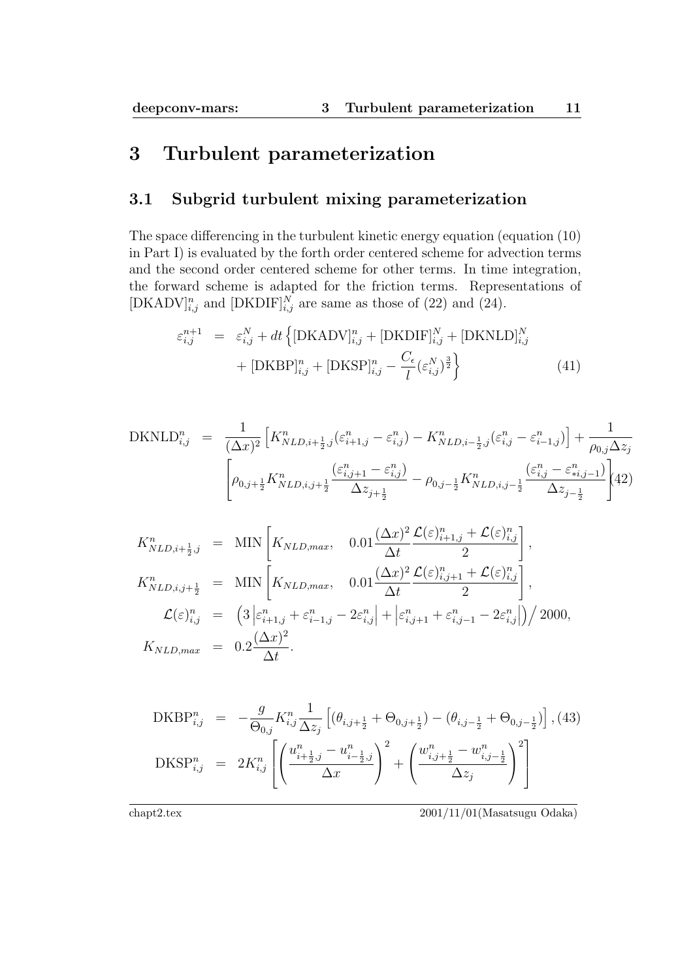# **3 Turbulent parameterization**

#### **3.1 Subgrid turbulent mixing parameterization**

The space differencing in the turbulent kinetic energy equation (equation (10) in Part I) is evaluated by the forth order centered scheme for advection terms and the second order centered scheme for other terms. In time integration, the forward scheme is adapted for the friction terms. Representations of [DKADV] $_{i,j}^n$  and [DKDIF] $_{i,j}^N$  are same as those of (22) and (24).

$$
\varepsilon_{i,j}^{n+1} = \varepsilon_{i,j}^N + dt \left\{ [\text{DKADV}]_{i,j}^n + [\text{DKDIF}]_{i,j}^N + [\text{DKNLD}]_{i,j}^N + [\text{DKBPI}]_{i,j}^n + [\text{DKBPI}]_{i,j}^n + [\text{DKSP}]_{i,j}^n - \frac{C_\epsilon}{l} (\varepsilon_{i,j}^N)^{\frac{3}{2}} \right\}
$$
(41)

$$
\text{DKNLD}_{i,j}^{n} = \frac{1}{(\Delta x)^{2}} \left[ K_{NLD,i+\frac{1}{2},j}^{n} (\varepsilon_{i+1,j}^{n} - \varepsilon_{i,j}^{n}) - K_{NLD,i-\frac{1}{2},j}^{n} (\varepsilon_{i,j}^{n} - \varepsilon_{i-1,j}^{n}) \right] + \frac{1}{\rho_{0,j} \Delta z_{j}} \left[ \rho_{0,j+\frac{1}{2}} K_{NLD,i,j+\frac{1}{2}}^{n} \frac{(\varepsilon_{i,j+1}^{n} - \varepsilon_{i,j}^{n})}{\Delta z_{j+\frac{1}{2}}} - \rho_{0,j-\frac{1}{2}} K_{NLD,i,j-\frac{1}{2}}^{n} \frac{(\varepsilon_{i,j}^{n} - \varepsilon_{i,j-1}^{n})}{\Delta z_{j-\frac{1}{2}}} \right] (42)
$$

$$
K_{NLD,i+\frac{1}{2},j}^{n} = \text{MIN}\left[K_{NLD,max}, \quad 0.01 \frac{(\Delta x)^{2}}{\Delta t} \frac{\mathcal{L}(\varepsilon)_{i+1,j}^{n} + \mathcal{L}(\varepsilon)_{i,j}^{n}}{2}\right],
$$
  
\n
$$
K_{NLD,i,j+\frac{1}{2}}^{n} = \text{MIN}\left[K_{NLD,max}, \quad 0.01 \frac{(\Delta x)^{2}}{\Delta t} \frac{\mathcal{L}(\varepsilon)_{i,j+1}^{n} + \mathcal{L}(\varepsilon)_{i,j}^{n}}{2}\right],
$$
  
\n
$$
\mathcal{L}(\varepsilon)_{i,j}^{n} = \left(3 \left|\varepsilon_{i+1,j}^{n} + \varepsilon_{i-1,j}^{n} - 2\varepsilon_{i,j}^{n}\right| + \left|\varepsilon_{i,j+1}^{n} + \varepsilon_{i,j-1}^{n} - 2\varepsilon_{i,j}^{n}\right|\right)/2000,
$$
  
\n
$$
K_{NLD,max} = 0.2 \frac{(\Delta x)^{2}}{\Delta t}.
$$

$$
\begin{split} \text{DKBP}_{i,j}^{n} &= -\frac{g}{\Theta_{0,j}} K_{i,j}^{n} \frac{1}{\Delta z_{j}} \left[ (\theta_{i,j+\frac{1}{2}} + \Theta_{0,j+\frac{1}{2}}) - (\theta_{i,j-\frac{1}{2}} + \Theta_{0,j-\frac{1}{2}}) \right], \text{(43)}\\ \text{DKSP}_{i,j}^{n} &= 2K_{i,j}^{n} \left[ \left( \frac{u_{i+\frac{1}{2},j}^{n} - u_{i-\frac{1}{2},j}^{n}}{\Delta x} \right)^{2} + \left( \frac{w_{i,j+\frac{1}{2}}^{n} - w_{i,j-\frac{1}{2}}^{n}}{\Delta z_{j}} \right)^{2} \right] \end{split}
$$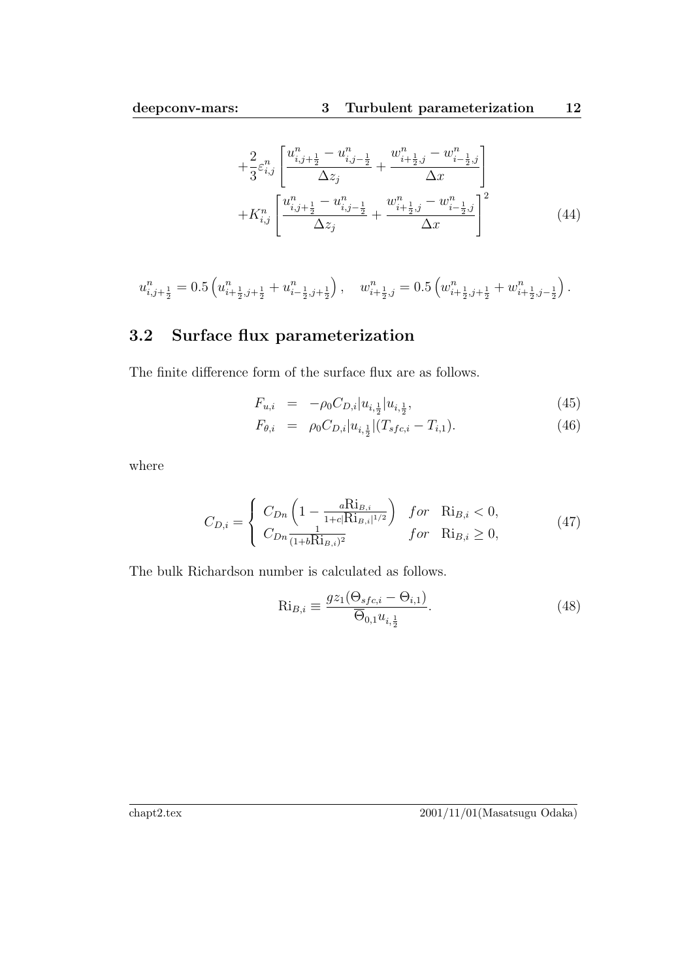$$
+\frac{2}{3}\varepsilon_{i,j}^n \left[ \frac{u_{i,j+\frac{1}{2}}^n - u_{i,j-\frac{1}{2}}^n}{\Delta z_j} + \frac{w_{i+\frac{1}{2},j}^n - w_{i-\frac{1}{2},j}^n}{\Delta x} \right] + K_{i,j}^n \left[ \frac{u_{i,j+\frac{1}{2}}^n - u_{i,j-\frac{1}{2}}^n}{\Delta z_j} + \frac{w_{i+\frac{1}{2},j}^n - w_{i-\frac{1}{2},j}^n}{\Delta x} \right]^2
$$
(44)

$$
u_{i,j+\frac{1}{2}}^n = 0.5 \left( u_{i+\frac{1}{2},j+\frac{1}{2}}^n + u_{i-\frac{1}{2},j+\frac{1}{2}}^n \right), \quad w_{i+\frac{1}{2},j}^n = 0.5 \left( w_{i+\frac{1}{2},j+\frac{1}{2}}^n + w_{i+\frac{1}{2},j-\frac{1}{2}}^n \right).
$$

### **3.2 Surface flux parameterization**

The finite difference form of the surface flux are as follows.

$$
F_{u,i} = -\rho_0 C_{D,i} |u_{i,\frac{1}{2}}|u_{i,\frac{1}{2}}, \tag{45}
$$

$$
F_{\theta,i} = \rho_0 C_{D,i} |u_{i,\frac{1}{2}}| (T_{sfc,i} - T_{i,1}). \tag{46}
$$

where

$$
C_{D,i} = \begin{cases} C_{Dn} \left( 1 - \frac{a_{B,i}}{1 + c |R|_{B,i}|^{1/2}} \right) & \text{for} \quad R|_{B,i} < 0, \\ C_{Dn} \frac{1}{(1 + bR|_{B,i})^2} & \text{for} \quad R|_{B,i} \ge 0, \end{cases} \tag{47}
$$

The bulk Richardson number is calculated as follows.

$$
\text{Ri}_{B,i} \equiv \frac{gz_1(\Theta_{sfc,i} - \Theta_{i,1})}{\overline{\Theta}_{0,1}u_{i,\frac{1}{2}}}.
$$
\n(48)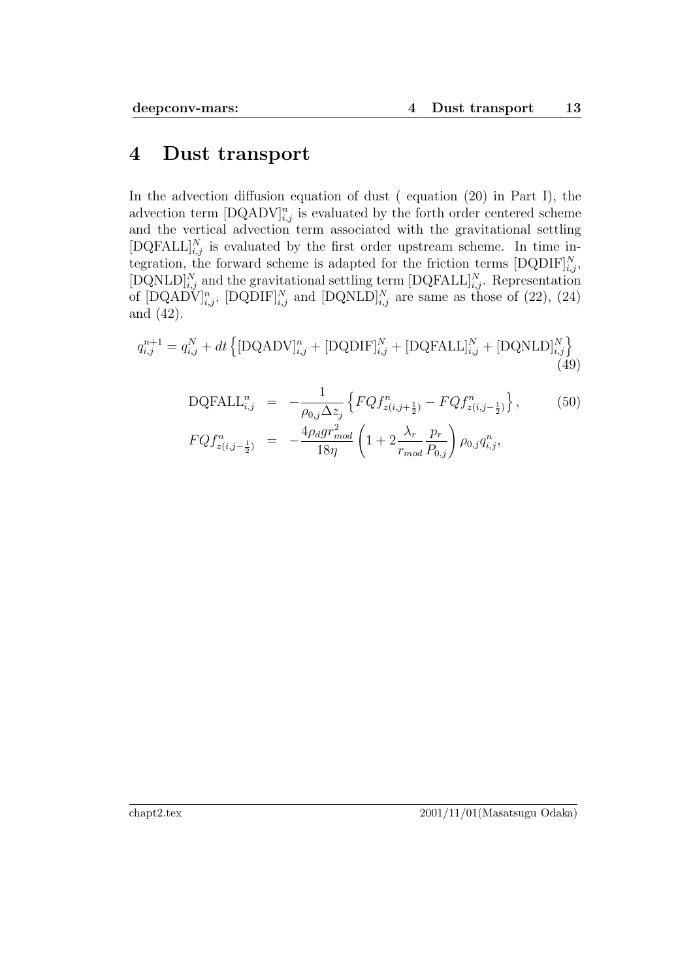### **4 Dust transport**

In the advection diffusion equation of dust (equation (20) in Part I), the advection term  $[DQADV]_{i,j}^n$  is evaluated by the forth order centered scheme and the vertical advection term associated with the gravitational settling  $[DQFALL]_{i,j}^N$  is evaluated by the first order upstream scheme. In time integration, the forward scheme is adapted for the friction terms  $[DQDIF]_{i,j}^N$ , [DQNLD]<sup>N</sup><sub>i,j</sub> and the gravitational settling term  $[DQFALL]_{i,j}^N$ . Representation of  $[DQAD\tilde{V}]_{i,j}^n$ ,  $[DQDIF]_{i,j}^N$  and  $[DQNLD]_{i,j}^N$  are same as those of (22), (24) and (42).

$$
q_{i,j}^{n+1} = q_{i,j}^N + dt \left\{ [\text{DQADV}]_{i,j}^n + [\text{DQDIFF}]_{i,j}^N + [\text{DQFALSE}]_{i,j}^N + [\text{DQNLD}]_{i,j}^N \right\}
$$
(49)

DQFALL<sub>i,j</sub><sup>n</sup> = 
$$
-\frac{1}{\rho_{0,j} \Delta z_j} \left\{ FQf_{z(i,j+\frac{1}{2})}^n - FQf_{z(i,j-\frac{1}{2})}^n \right\},
$$
 (50)  
\n
$$
FQf_{z(i,j-\frac{1}{2})}^n = -\frac{4\rho_d gr_{mod}^2}{18\eta} \left( 1 + 2\frac{\lambda_r}{r_{mod}} \frac{p_r}{P_{0,j}} \right) \rho_{0,j} q_{i,j}^n,
$$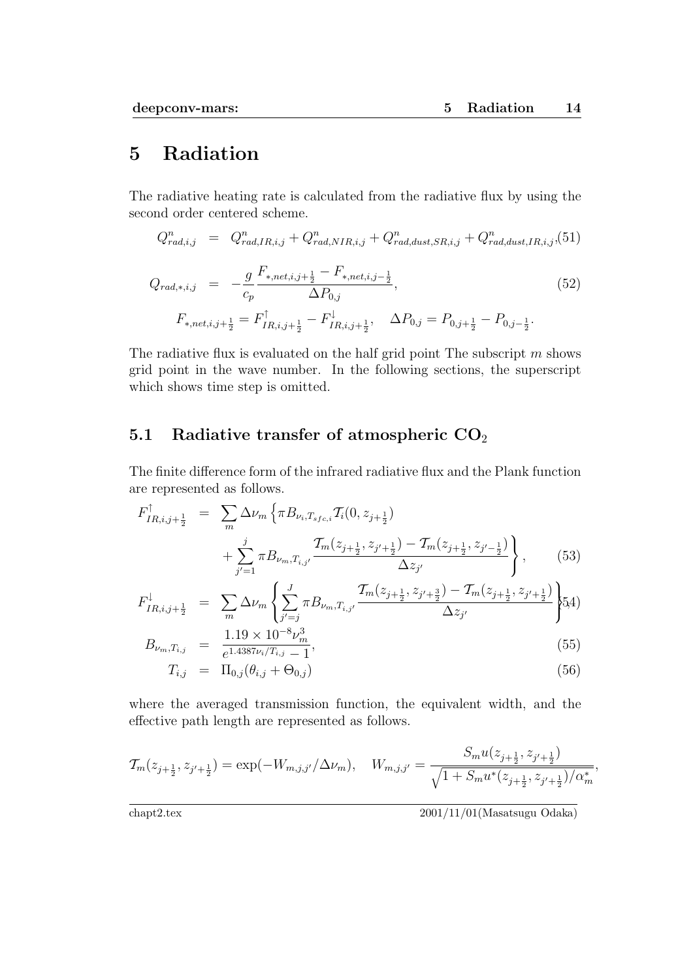## **5 Radiation**

The radiative heating rate is calculated from the radiative flux by using the second order centered scheme.

$$
Q_{rad,i,j}^{n} = Q_{rad,IR,i,j}^{n} + Q_{rad,NIR,i,j}^{n} + Q_{rad,dust,SR,i,j}^{n} + Q_{rad,dust,IR,i,j}^{n}
$$
 (51)

$$
Q_{rad,*,i,j} = -\frac{g}{c_p} \frac{F_{*,net,i,j+\frac{1}{2}} - F_{*,net,i,j-\frac{1}{2}}}{\Delta P_{0,j}},
$$
  
\n
$$
F_{*,net,i,j+\frac{1}{2}} = F_{IR,i,j+\frac{1}{2}}^{\uparrow} - F_{IR,i,j+\frac{1}{2}}^{\downarrow}, \quad \Delta P_{0,j} = P_{0,j+\frac{1}{2}} - P_{0,j-\frac{1}{2}}.
$$
\n
$$
(52)
$$

The radiative flux is evaluated on the half grid point The subscript *m* shows grid point in the wave number. In the following sections, the superscript which shows time step is omitted.

#### **5.1 Radiative transfer of atmospheric CO**<sup>2</sup>

The finite difference form of the infrared radiative flux and the Plank function are represented as follows.

$$
F_{IR,i,j+\frac{1}{2}}^{\uparrow} = \sum_{m} \Delta \nu_{m} \left\{ \pi B_{\nu_{i},T_{sfc,i}} T_{i}(0, z_{j+\frac{1}{2}}) + \sum_{j'=1}^{j} \pi B_{\nu_{m},T_{i,j'}} \frac{T_{m}(z_{j+\frac{1}{2}}, z_{j'+\frac{1}{2}}) - T_{m}(z_{j+\frac{1}{2}}, z_{j'-\frac{1}{2}})}{\Delta z_{j'}} \right\}, \quad (53)
$$

$$
F_{IR,i,j+\frac{1}{2}}^{\downarrow} = \sum_{m} \Delta \nu_{m} \left\{ \sum_{j'=j}^{J} \pi B_{\nu_{m},T_{i,j'}} \frac{\mathcal{T}_{m}(z_{j+\frac{1}{2}}, z_{j'+\frac{3}{2}}) - \mathcal{T}_{m}(z_{j+\frac{1}{2}}, z_{j'+\frac{1}{2}})}{\Delta z_{j'}} \right\} (5.4)
$$

$$
B_{\nu_m, T_{i,j}} = \frac{1.19 \times 10^{-8} \nu_m^3}{e^{1.4387 \nu_i/T_{i,j}} - 1},\tag{55}
$$

$$
T_{i,j} = \Pi_{0,j}(\theta_{i,j} + \Theta_{0,j})
$$
\n(56)

where the averaged transmission function, the equivalent width, and the effective path length are represented as follows.

$$
\mathcal{T}_{m}(z_{j+\frac{1}{2}}, z_{j'+\frac{1}{2}}) = \exp(-W_{m,j,j'}/\Delta \nu_m), \quad W_{m,j,j'} = \frac{S_m u(z_{j+\frac{1}{2}}, z_{j'+\frac{1}{2}})}{\sqrt{1 + S_m u^*(z_{j+\frac{1}{2}}, z_{j'+\frac{1}{2}})/\alpha_m^*}},
$$

chapt2.tex 2001/11/01(Masatsugu Odaka)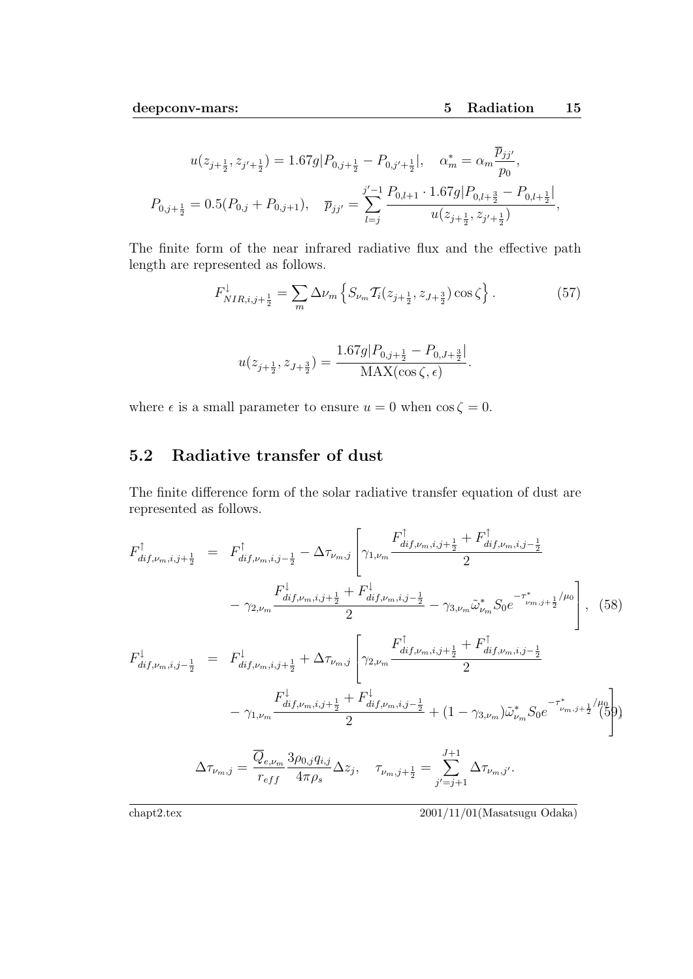$$
u(z_{j+\frac{1}{2}}, z_{j'+\frac{1}{2}}) = 1.67g|P_{0,j+\frac{1}{2}} - P_{0,j'+\frac{1}{2}}|, \quad \alpha_m^* = \alpha_m \frac{\overline{p}_{jj'}}{p_0},
$$
  

$$
P_{0,j+\frac{1}{2}} = 0.5(P_{0,j} + P_{0,j+1}), \quad \overline{p}_{jj'} = \sum_{l=j}^{j'-1} \frac{P_{0,l+1} \cdot 1.67g|P_{0,l+\frac{3}{2}} - P_{0,l+\frac{1}{2}}|}{u(z_{j+\frac{1}{2}}, z_{j'+\frac{1}{2}})},
$$

The finite form of the near infrared radiative flux and the effective path length are represented as follows.

$$
F_{NIR,i,j+\frac{1}{2}}^{\downarrow} = \sum_{m} \Delta \nu_m \left\{ S_{\nu_m} \mathcal{T}_i(z_{j+\frac{1}{2}}, z_{J+\frac{3}{2}}) \cos \zeta \right\}.
$$
 (57)

$$
u(z_{j+\frac{1}{2}}, z_{J+\frac{3}{2}}) = \frac{1.67g|P_{0,j+\frac{1}{2}} - P_{0,J+\frac{3}{2}}|}{\text{MAX}(\cos \zeta, \epsilon)}.
$$

where  $\epsilon$  is a small parameter to ensure  $u = 0$  when  $\cos \zeta = 0$ .

### **5.2 Radiative transfer of dust**

The finite difference form of the solar radiative transfer equation of dust are represented as follows.

$$
F_{dif,\nu_{m},i,j+\frac{1}{2}}^{\uparrow} = F_{dif,\nu_{m},i,j-\frac{1}{2}}^{\uparrow} - \Delta \tau_{\nu_{m},j} \left[ \gamma_{1,\nu_{m}} \frac{F_{dif,\nu_{m},i,j+\frac{1}{2}}^{\uparrow} + F_{dif,\nu_{m},i,j-\frac{1}{2}}^{\uparrow}}{2} \right]
$$
  
\n
$$
- \gamma_{2,\nu_{m}} \frac{F_{dif,\nu_{m},i,j+\frac{1}{2}}^{\downarrow} + F_{dif,\nu_{m},i,j-\frac{1}{2}}^{\downarrow}}{2} - \gamma_{3,\nu_{m}} \tilde{\omega}_{\nu_{m}}^{*} S_{0} e^{-\tau_{\nu_{m},j+\frac{1}{2}}^{\ast}/\mu_{0}} \right], \quad (58)
$$
  
\n
$$
F_{dif,\nu_{m},i,j-\frac{1}{2}}^{\downarrow} = F_{dif,\nu_{m},i,j+\frac{1}{2}}^{\downarrow} + \Delta \tau_{\nu_{m},j} \left[ \gamma_{2,\nu_{m}} \frac{F_{dif,\nu_{m},i,j+\frac{1}{2}}^{\downarrow} + F_{dif,\nu_{m},i,j-\frac{1}{2}}^{\uparrow}}{2} \right]
$$
  
\n
$$
- \gamma_{1,\nu_{m}} \frac{F_{dif,\nu_{m},i,j+\frac{1}{2}}^{\downarrow} + F_{dif,\nu_{m},i,j-\frac{1}{2}}^{\downarrow}}{2} + (1 - \gamma_{3,\nu_{m}}) \tilde{\omega}_{\nu_{m}}^{*} S_{0} e^{-\tau_{\nu_{m},j+\frac{1}{2}}^{\ast}/\mu_{0}} \right)
$$
  
\n
$$
\Delta \tau_{\nu_{m},j} = \frac{\overline{Q}_{e,\nu_{m}}}{r_{eff}} \frac{3\rho_{0,j}q_{i,j}}{4\pi\rho_{s}} \Delta z_{j}, \quad \tau_{\nu_{m},j+\frac{1}{2}} = \sum_{j'=j+1}^{J+1} \Delta \tau_{\nu_{m},j'}.
$$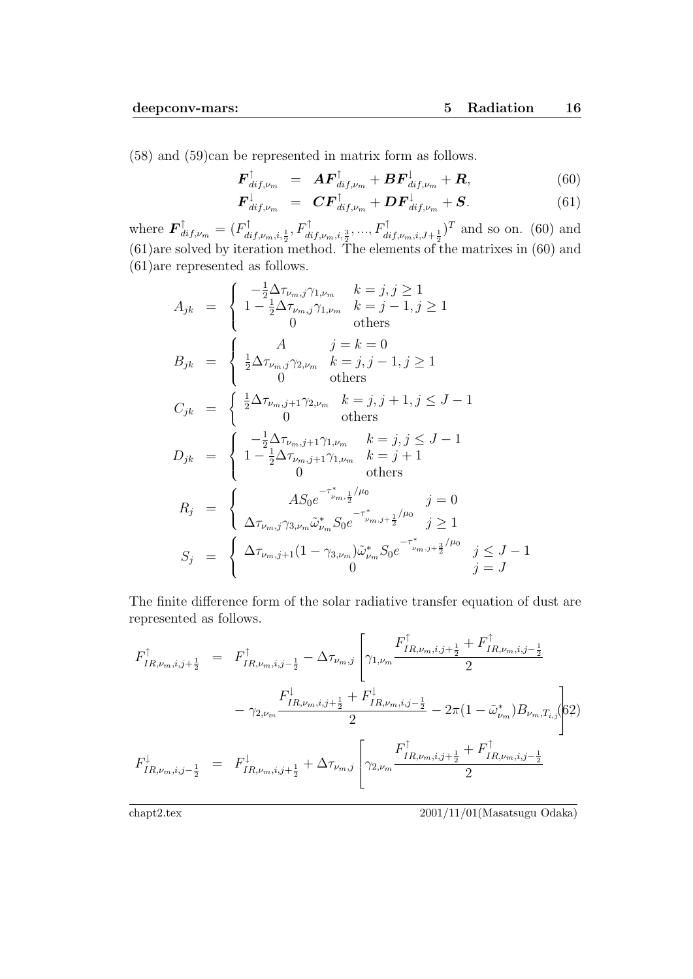(58) and (59)can be represented in matrix form as follows.

$$
\boldsymbol{F}_{dif,\nu_m}^{\uparrow} = \boldsymbol{A}\boldsymbol{F}_{dif,\nu_m}^{\uparrow} + \boldsymbol{B}\boldsymbol{F}_{dif,\nu_m}^{\downarrow} + \boldsymbol{R}, \qquad (60)
$$

$$
\boldsymbol{F}_{dif,\nu m}^{\downarrow} = \boldsymbol{C} \boldsymbol{F}_{dif,\nu m}^{\uparrow} + \boldsymbol{D} \boldsymbol{F}_{dif,\nu m}^{\downarrow} + \boldsymbol{S}.
$$
 (61)

where  $\mathbf{F}_{dif,\nu_m}^{\uparrow} = (F_{dif,\nu_m,i,\frac{1}{2}}^{\uparrow}, F_{dif,\nu_m,i,\frac{3}{2}}^{\uparrow},...,F_{dif,\nu_m,i,J+\frac{1}{2}}^{\uparrow})^T$  and so on. (60) and (61)are solved by iteration method. The elements of the matrixes in (60) and (61)are represented as follows.

$$
A_{jk} = \begin{cases} -\frac{1}{2}\Delta\tau_{\nu_m,j}\gamma_{1,\nu_m} & k = j, j \ge 1\\ 1 - \frac{1}{2}\Delta\tau_{\nu_m,j}\gamma_{1,\nu_m} & k = j - 1, j \ge 1\\ 0 & \text{others} \end{cases}
$$
  
\n
$$
B_{jk} = \begin{cases} A & j = k = 0\\ \frac{1}{2}\Delta\tau_{\nu_m,j}\gamma_{2,\nu_m} & k = j, j - 1, j \ge 1\\ 0 & \text{others} \end{cases}
$$
  
\n
$$
C_{jk} = \begin{cases} \frac{1}{2}\Delta\tau_{\nu_m,j+1}\gamma_{2,\nu_m} & k = j, j + 1, j \le J - 1\\ 0 & \text{others} \end{cases}
$$
  
\n
$$
D_{jk} = \begin{cases} -\frac{1}{2}\Delta\tau_{\nu_m,j+1}\gamma_{1,\nu_m} & k = j, j \le J - 1\\ 1 - \frac{1}{2}\Delta\tau_{\nu_m,j+1}\gamma_{1,\nu_m} & k = j + 1\\ 0 & \text{others} \end{cases}
$$
  
\n
$$
R_j = \begin{cases} A S_0 e^{-\tau_{\nu_m,j}^*/4/\mu_0} & j = 0\\ \Delta\tau_{\nu_m,j}\gamma_{3,\nu_m}\tilde{\omega}_{\nu_m}^* S_0 e^{-\tau_{\nu_m,j+1}^*/4/\mu_0} & j \ge 1\\ S_j & \text{otherwise} \end{cases}
$$

The finite difference form of the solar radiative transfer equation of dust are represented as follows.

$$
F_{IR,\nu_m,i,j+\frac{1}{2}}^{\uparrow} = F_{IR,\nu_m,i,j-\frac{1}{2}}^{\uparrow} - \Delta \tau_{\nu_m,j} \left[ \gamma_{1,\nu_m} \frac{F_{IR,\nu_m,i,j+\frac{1}{2}}^{\uparrow} + F_{IR,\nu_m,i,j-\frac{1}{2}}^{\uparrow}}{2} \right]
$$

$$
- \gamma_{2,\nu_m} \frac{F_{IR,\nu_m,i,j+\frac{1}{2}}^{\downarrow} + F_{IR,\nu_m,i,j-\frac{1}{2}}^{\downarrow}}{2} - 2\pi (1 - \tilde{\omega}_{\nu_m}^*) B_{\nu_m, T_{i,j}} \left[ 62 \right]
$$

$$
F_{IR,\nu_m,i,j-\frac{1}{2}}^{\downarrow} = F_{IR,\nu_m,i,j+\frac{1}{2}}^{\downarrow} + \Delta \tau_{\nu_m,j} \left[ \gamma_{2,\nu_m} \frac{F_{IR,\nu_m,i,j+\frac{1}{2}}^{\uparrow} + F_{IR,\nu_m,i,j-\frac{1}{2}}^{\uparrow}}{2} \right]
$$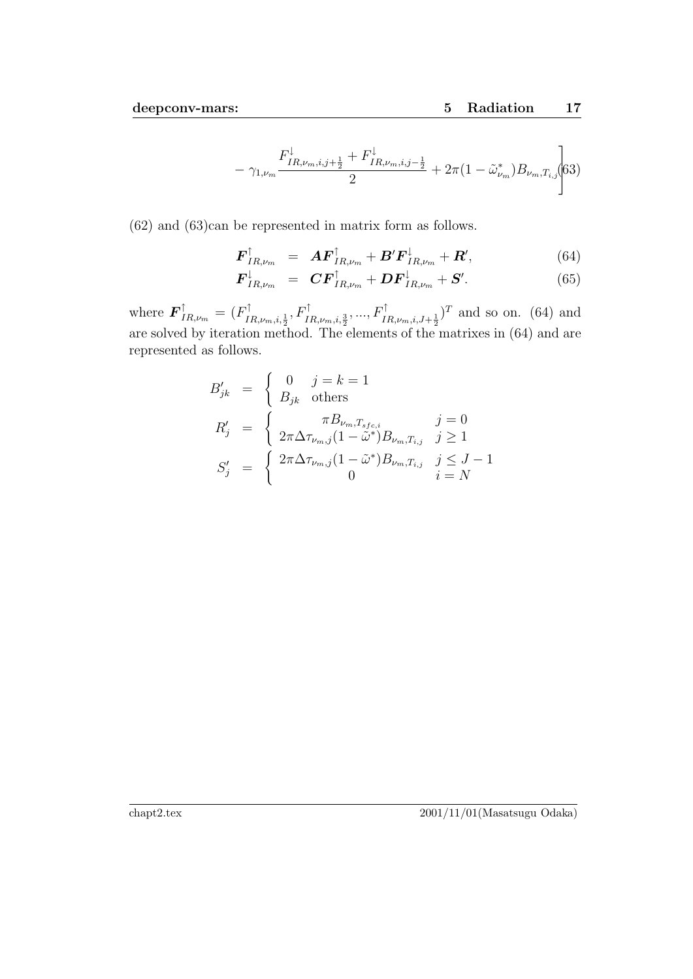$$
- \gamma_{1,\nu_m} \frac{F_{IR,\nu_m,i,j+\frac{1}{2}}^{\downarrow} + F_{IR,\nu_m,i,j-\frac{1}{2}}^{\downarrow}}{2} + 2\pi (1 - \tilde{\omega}_{\nu_m}^*) B_{\nu_m,T_{i,j}} \Bigg| 63)
$$

(62) and (63)can be represented in matrix form as follows.

$$
\boldsymbol{F}_{IR,\nu_m}^{\uparrow} = \boldsymbol{A}\boldsymbol{F}_{IR,\nu_m}^{\uparrow} + \boldsymbol{B}'\boldsymbol{F}_{IR,\nu_m}^{\downarrow} + \boldsymbol{R}', \qquad (64)
$$

$$
\boldsymbol{F}_{IR,\nu_m}^{\downarrow} = \boldsymbol{C}\boldsymbol{F}_{IR,\nu_m}^{\uparrow} + \boldsymbol{D}\boldsymbol{F}_{IR,\nu_m}^{\downarrow} + \boldsymbol{S}'.
$$
 (65)

where  $\mathbf{F}_{IR,\nu_m}^{\uparrow} = (F_{IR,\nu_m,i,\frac{1}{2}}^{\uparrow}, F_{IR,\nu_m,i,\frac{3}{2}}^{\uparrow}, ..., F_{IR,\nu_m,i,J+\frac{1}{2}}^{\uparrow})^T$  and so on. (64) and are solved by iteration method. The elements of the matrixes in (64) and are represented as follows.

$$
B'_{jk} = \begin{cases} 0 & j = k = 1 \\ B_{jk} & \text{others} \end{cases}
$$
  
\n
$$
R'_{j} = \begin{cases} \pi B_{\nu_{m}, T_{sfc,i}} & j = 0 \\ 2\pi \Delta \tau_{\nu_{m},j} (1 - \tilde{\omega}^{*}) B_{\nu_{m}, T_{i,j}} & j \ge 1 \end{cases}
$$
  
\n
$$
S'_{j} = \begin{cases} 2\pi \Delta \tau_{\nu_{m},j} (1 - \tilde{\omega}^{*}) B_{\nu_{m}, T_{i,j}} & j \le J - 1 \\ 0 & i = N \end{cases}
$$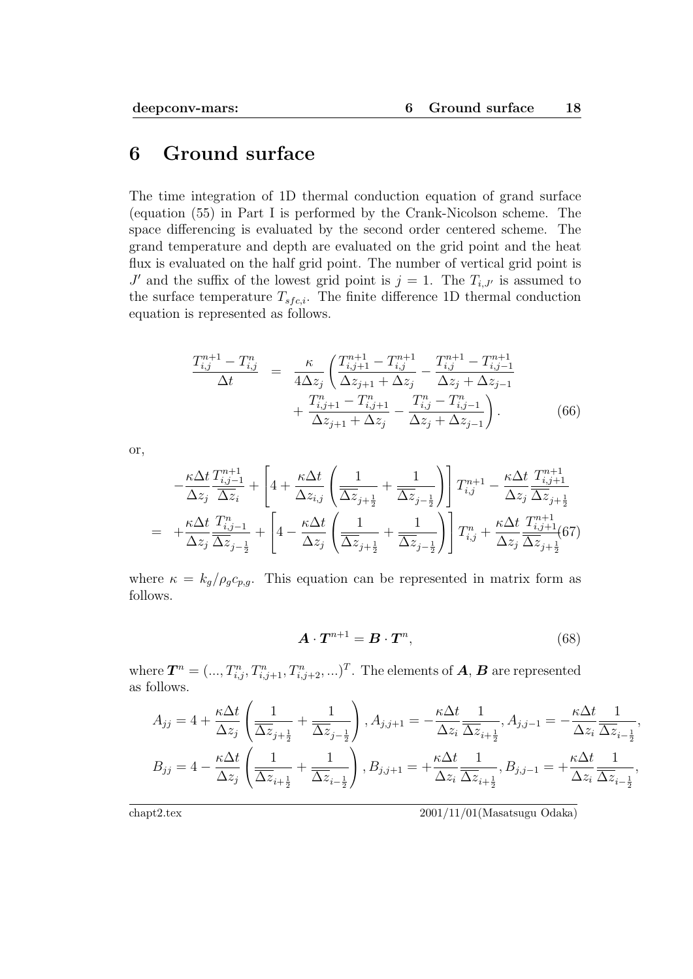### **6 Ground surface**

The time integration of 1D thermal conduction equation of grand surface (equation (55) in Part I is performed by the Crank-Nicolson scheme. The space differencing is evaluated by the second order centered scheme. The grand temperature and depth are evaluated on the grid point and the heat flux is evaluated on the half grid point. The number of vertical grid point is *J*' and the suffix of the lowest grid point is  $j = 1$ . The  $T_{i,J'}$  is assumed to the surface temperature  $T_{sfc,i}$ . The finite difference 1D thermal conduction equation is represented as follows.

$$
\frac{T_{i,j}^{n+1} - T_{i,j}^n}{\Delta t} = \frac{\kappa}{4\Delta z_j} \left( \frac{T_{i,j+1}^{n+1} - T_{i,j}^{n+1}}{\Delta z_{j+1} + \Delta z_j} - \frac{T_{i,j}^{n+1} - T_{i,j-1}^{n+1}}{\Delta z_j + \Delta z_{j-1}} + \frac{T_{i,j+1}^n - T_{i,j+1}^n}{\Delta z_{j+1} + \Delta z_j} - \frac{T_{i,j}^n - T_{i,j-1}^n}{\Delta z_j + \Delta z_{j-1}} \right). \tag{66}
$$

or,

$$
-\frac{\kappa \Delta t}{\Delta z_j} \frac{T_{i,j-1}^{n+1}}{\Delta z_i} + \left[4 + \frac{\kappa \Delta t}{\Delta z_{i,j}} \left(\frac{1}{\Delta z_{j+\frac{1}{2}}} + \frac{1}{\Delta z_{j-\frac{1}{2}}}\right)\right] T_{i,j}^{n+1} - \frac{\kappa \Delta t}{\Delta z_j} \frac{T_{i,j+1}^{n+1}}{\Delta z_j \Delta z_{j+\frac{1}{2}}}
$$
  
= 
$$
+\frac{\kappa \Delta t}{\Delta z_j} \frac{T_{i,j-1}^n}{\Delta z_{j-\frac{1}{2}}} + \left[4 - \frac{\kappa \Delta t}{\Delta z_j} \left(\frac{1}{\Delta z_{j+\frac{1}{2}}} + \frac{1}{\Delta z_{j-\frac{1}{2}}}\right)\right] T_{i,j}^n + \frac{\kappa \Delta t}{\Delta z_j} \frac{T_{i,j+1}^{n+1}}{\Delta z_j \Delta z_{j+\frac{1}{2}}} (67)
$$

where  $\kappa = k_g/\rho_g c_{p,g}$ . This equation can be represented in matrix form as follows.

$$
\boldsymbol{A} \cdot \boldsymbol{T}^{n+1} = \boldsymbol{B} \cdot \boldsymbol{T}^n,\tag{68}
$$

where  $\bm{T}^n = (..., T^n_{i,j}, T^n_{i,j+1}, T^n_{i,j+2}, ...)$ . The elements of  $\bm{A}, \bm{B}$  are represented as follows.

$$
A_{jj} = 4 + \frac{\kappa \Delta t}{\Delta z_j} \left( \frac{1}{\overline{\Delta z}_{j+\frac{1}{2}}} + \frac{1}{\overline{\Delta z}_{j-\frac{1}{2}}} \right), A_{j,j+1} = -\frac{\kappa \Delta t}{\Delta z_i} \frac{1}{\overline{\Delta z}_{i+\frac{1}{2}}}, A_{j,j-1} = -\frac{\kappa \Delta t}{\Delta z_i} \frac{1}{\overline{\Delta z}_{i-\frac{1}{2}}},
$$
  

$$
B_{jj} = 4 - \frac{\kappa \Delta t}{\Delta z_j} \left( \frac{1}{\overline{\Delta z}_{i+\frac{1}{2}}} + \frac{1}{\overline{\Delta z}_{i-\frac{1}{2}}} \right), B_{j,j+1} = +\frac{\kappa \Delta t}{\Delta z_i} \frac{1}{\overline{\Delta z}_{i+\frac{1}{2}}}, B_{j,j-1} = +\frac{\kappa \Delta t}{\Delta z_i} \frac{1}{\overline{\Delta z}_{i-\frac{1}{2}}},
$$

chapt2.tex 2001/11/01(Masatsugu Odaka)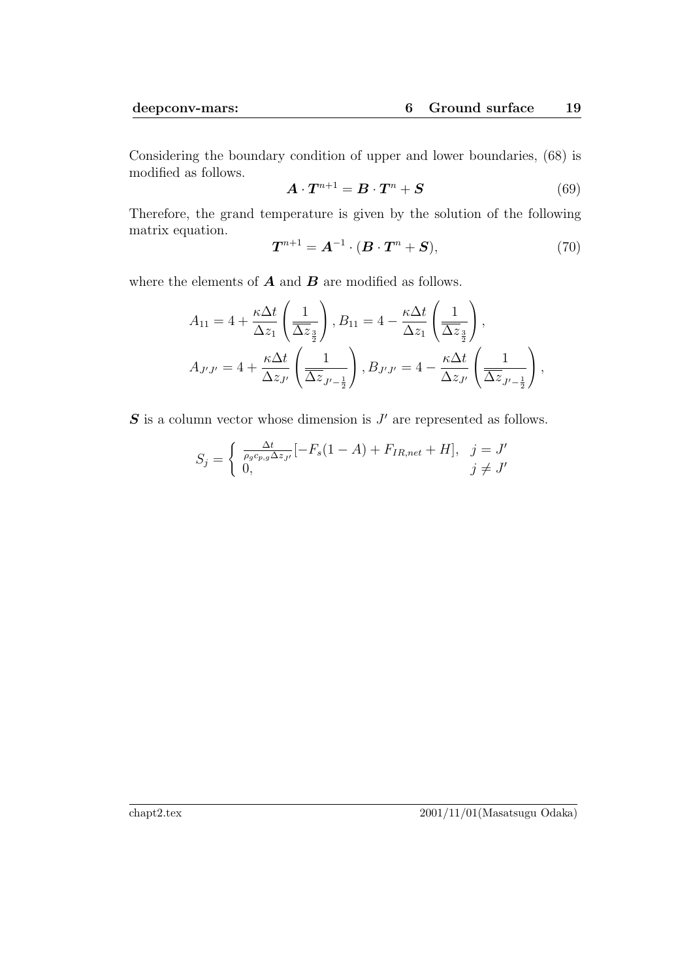Considering the boundary condition of upper and lower boundaries, (68) is modified as follows.

$$
\mathbf{A} \cdot \mathbf{T}^{n+1} = \mathbf{B} \cdot \mathbf{T}^n + \mathbf{S} \tag{69}
$$

Therefore, the grand temperature is given by the solution of the following matrix equation.

$$
\boldsymbol{T}^{n+1} = \boldsymbol{A}^{-1} \cdot (\boldsymbol{B} \cdot \boldsymbol{T}^n + \boldsymbol{S}),\tag{70}
$$

where the elements of *A* and *B* are modified as follows.

$$
A_{11} = 4 + \frac{\kappa \Delta t}{\Delta z_1} \left( \frac{1}{\Delta z_{\frac{3}{2}}} \right), B_{11} = 4 - \frac{\kappa \Delta t}{\Delta z_1} \left( \frac{1}{\Delta z_{\frac{3}{2}}} \right),
$$
  

$$
A_{J'J'} = 4 + \frac{\kappa \Delta t}{\Delta z_{J'}} \left( \frac{1}{\Delta z_{J'-\frac{1}{2}}} \right), B_{J'J'} = 4 - \frac{\kappa \Delta t}{\Delta z_{J'}} \left( \frac{1}{\Delta z_{J'-\frac{1}{2}}} \right),
$$

**S** is a column vector whose dimension is  $J'$  are represented as follows.

$$
S_j = \begin{cases} \frac{\Delta t}{\rho_g c_{p,g} \Delta z_{J'}} [-F_s(1-A) + F_{IR,net} + H], & j = J' \\ 0, & j \neq J' \end{cases}
$$